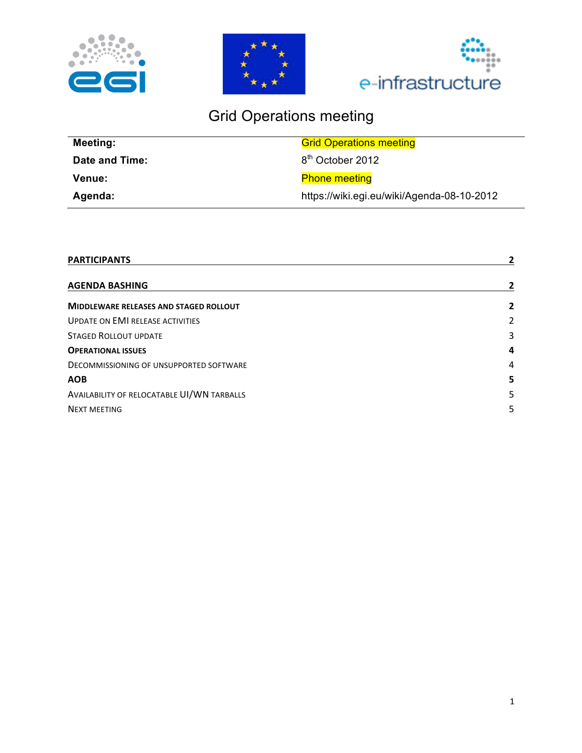





# Grid Operations meeting

| Meeting:       | <b>Grid Operations meeting</b>             |
|----------------|--------------------------------------------|
| Date and Time: | 8 <sup>th</sup> October 2012               |
| <b>Venue:</b>  | <b>Phone meeting</b>                       |
| Agenda:        | https://wiki.egi.eu/wiki/Agenda-08-10-2012 |

| <b>PARTICIPANTS</b>                           |   |
|-----------------------------------------------|---|
| <b>AGENDA BASHING</b>                         |   |
| <b>MIDDLEWARE RELEASES AND STAGED ROLLOUT</b> | 2 |
| <b>UPDATE ON EMI RELEASE ACTIVITIES</b>       | 2 |
| <b>STAGED ROLLOUT UPDATE</b>                  | 3 |
| <b>OPERATIONAL ISSUES</b>                     | 4 |
| DECOMMISSIONING OF UNSUPPORTED SOFTWARE       | 4 |
| <b>AOB</b>                                    | 5 |
| AVAILABILITY OF RELOCATABLE UI/WN TARBALLS    | 5 |
| <b>NEXT MEETING</b>                           | 5 |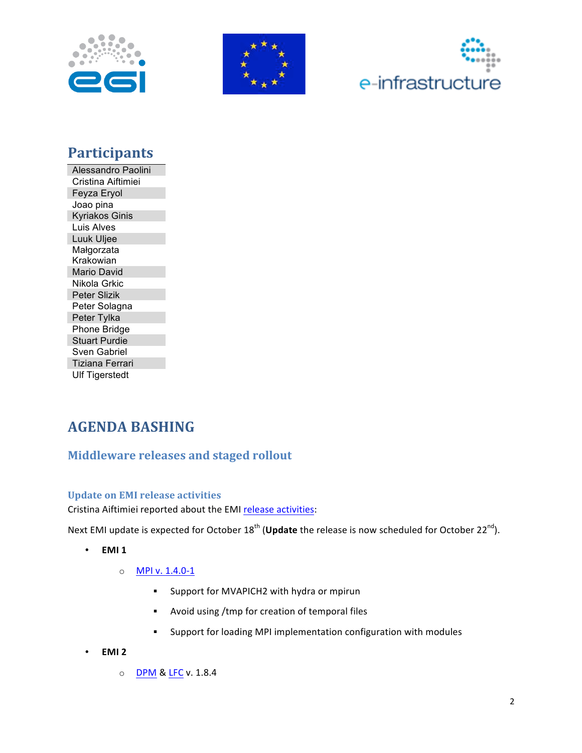





## **Participants**

Alessandro Paolini Cristina Aiftimiei Feyza Eryol Joao pina **Kyriakos Ginis** Luis Alves Luuk Uljee Małgorzata Krakowian Mario David Nikola Grkic Peter Slizik Peter Solagna Peter Tylka Phone Bridge **Stuart Purdie** Sven Gabriel **Tiziana Ferrari Ulf Tigerstedt** 

## **AGENDA BASHING**

### **Middleware releases and staged rollout**

#### **Update on EMI release activities**

Cristina Aiftimiei reported about the EMI release activities:

Next EMI update is expected for October 18<sup>th</sup> (Update the release is now scheduled for October 22<sup>nd</sup>).

- EMI<sub>1</sub>  $\bullet$ 
	- MPI v. 1.4.0-1  $\circ$ 
		- Support for MVAPICH2 with hydra or mpirun  $\mathbf{r}$
		- Avoid using /tmp for creation of temporal files  $\blacksquare$
		- Support for loading MPI implementation configuration with modules  $\mathbf{r}$
- $\bullet$ EMI<sub>2</sub>
	- O DPM & LFC v. 1.8.4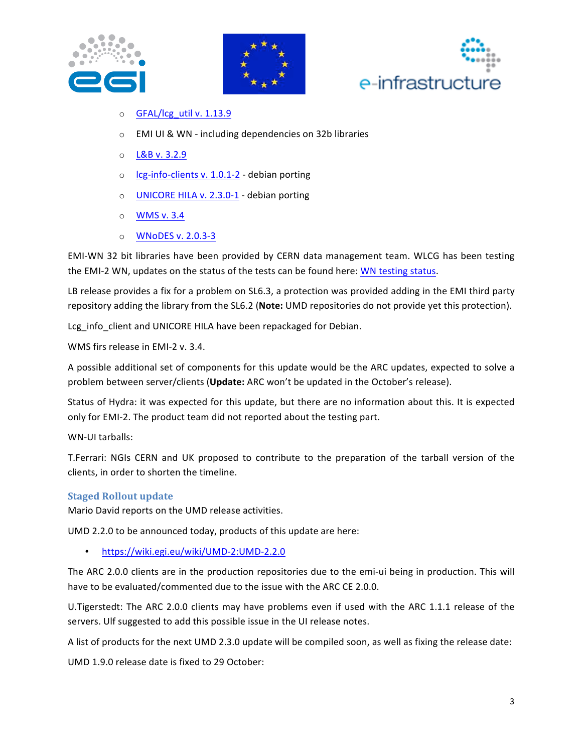





- o GFAL/lcg\_util v. 1.13.9
- $\circ$  EMI UI & WN including dependencies on 32b libraries
- $O$  L&B v. 3.2.9
- $\circ$  Icg-info-clients v. 1.0.1-2 debian porting
- o UNICORE HILA v. 2.3.0-1 debian porting
- $\circ$  WMS v. 3.4
- o WNoDES v. 2.0.3-3

EMI-WN 32 bit libraries have been provided by CERN data management team. WLCG has been testing the EMI-2 WN, updates on the status of the tests can be found here: WN testing status.

LB release provides a fix for a problem on SL6.3, a protection was provided adding in the EMI third party repository adding the library from the SL6.2 (**Note:** UMD repositories do not provide yet this protection).

Lcg info client and UNICORE HILA have been repackaged for Debian.

WMS firs release in EMI-2 v. 3.4.

A possible additional set of components for this update would be the ARC updates, expected to solve a problem between server/clients (Update: ARC won't be updated in the October's release).

Status of Hydra: it was expected for this update, but there are no information about this. It is expected only for EMI-2. The product team did not reported about the testing part.

WN-UI tarballs:

T.Ferrari: NGIs CERN and UK proposed to contribute to the preparation of the tarball version of the clients, in order to shorten the timeline.

#### **Staged Rollout update**

Mario David reports on the UMD release activities.

UMD 2.2.0 to be announced today, products of this update are here:

https://wiki.egi.eu/wiki/UMD-2:UMD-2.2.0

The ARC 2.0.0 clients are in the production repositories due to the emi-ui being in production. This will have to be evaluated/commented due to the issue with the ARC CE 2.0.0.

U.Tigerstedt: The ARC 2.0.0 clients may have problems even if used with the ARC 1.1.1 release of the servers. Ulf suggested to add this possible issue in the UI release notes.

A list of products for the next UMD 2.3.0 update will be compiled soon, as well as fixing the release date:

UMD 1.9.0 release date is fixed to 29 October: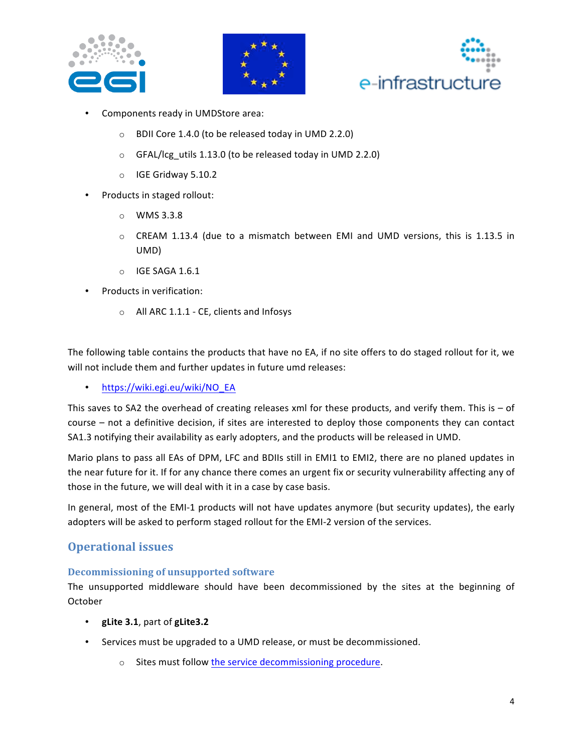





- Components ready in UMDStore area:
	- BDII Core 1.4.0 (to be released today in UMD 2.2.0)  $\circ$
	- o GFAL/lcg\_utils 1.13.0 (to be released today in UMD 2.2.0)
	- $\circ$  IGE Gridway 5.10.2
- Products in staged rollout:
	- $\circ$  WMS 3.3.8
	- CREAM 1.13.4 (due to a mismatch between EMI and UMD versions, this is 1.13.5 in UMD)
	- $\circ$  IGE SAGA 1.6.1
- Products in verification:
	- O All ARC 1.1.1 CE, clients and Infosys

The following table contains the products that have no EA, if no site offers to do staged rollout for it, we will not include them and further updates in future umd releases:

https://wiki.egi.eu/wiki/NO\_EA  $\bullet$ 

This saves to SA2 the overhead of creating releases xml for these products, and verify them. This is  $-$  of course - not a definitive decision, if sites are interested to deploy those components they can contact SA1.3 notifying their availability as early adopters, and the products will be released in UMD.

Mario plans to pass all EAs of DPM, LFC and BDIIs still in EMI1 to EMI2, there are no planed updates in the near future for it. If for any chance there comes an urgent fix or security vulnerability affecting any of those in the future, we will deal with it in a case by case basis.

In general, most of the EMI-1 products will not have updates anymore (but security updates), the early adopters will be asked to perform staged rollout for the EMI-2 version of the services.

#### **Operational issues**

#### **Decommissioning of unsupported software**

The unsupported middleware should have been decommissioned by the sites at the beginning of October

- gLite 3.1, part of gLite3.2
- Services must be upgraded to a UMD release, or must be decommissioned.
	- o Sites must follow the service decommissioning procedure.